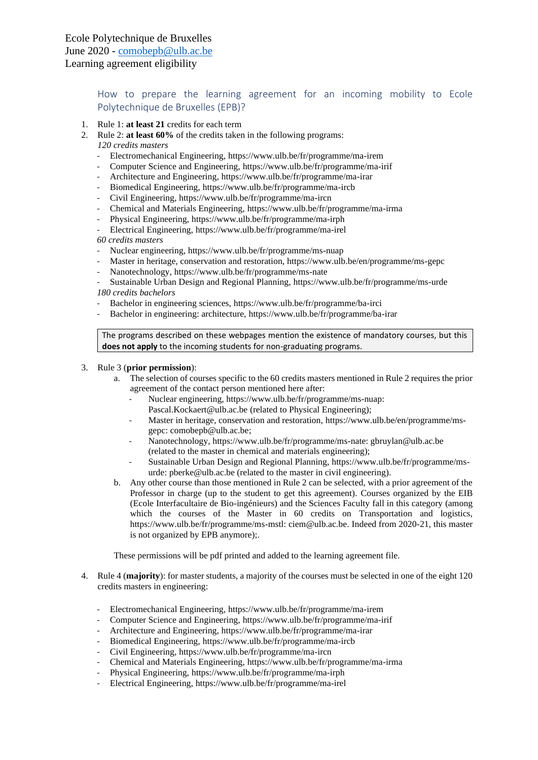How to prepare the learning agreement for an incoming mobility to Ecole Polytechnique de Bruxelles (EPB)?

- 1. Rule 1: **at least 21** credits for each term
- 2. Rule 2: **at least 60%** of the credits taken in the following programs: *120 credits masters*
	- Electromechanical Engineering, https://www.ulb.be/fr/programme/ma-irem
	- Computer Science and Engineering, https://www.ulb.be/fr/programme/ma-irif
	- Architecture and Engineering, https://www.ulb.be/fr/programme/ma-irar
	- Biomedical Engineering, https://www.ulb.be/fr/programme/ma-ircb
	- Civil Engineering, https://www.ulb.be/fr/programme/ma-ircn
	- Chemical and Materials Engineering, https://www.ulb.be/fr/programme/ma-irma
	- Physical Engineering, https://www.ulb.be/fr/programme/ma-irph
	- Electrical Engineering, https://www.ulb.be/fr/programme/ma-irel

*60 credits masters*

- Nuclear engineering, https://www.ulb.be/fr/programme/ms-nuap
- Master in heritage, conservation and restoration, https://www.ulb.be/en/programme/ms-gepc
- Nanotechnology, https://www.ulb.be/fr/programme/ms-nate
- Sustainable Urban Design and Regional Planning, https://www.ulb.be/fr/programme/ms-urde

*180 credits bachelors*

- Bachelor in engineering sciences, https://www.ulb.be/fr/programme/ba-irci
- Bachelor in engineering: architecture, https://www.ulb.be/fr/programme/ba-irar

The programs described on these webpages mention the existence of mandatory courses, but this **does not apply** to the incoming students for non-graduating programs.

3. Rule 3 (**prior permission**):

- a. The selection of courses specific to the 60 credits masters mentioned in Rule 2 requires the prior agreement of the contact person mentioned here after:
	- Nuclear engineering, https://www.ulb.be/fr/programme/ms-nuap:
	- Pascal.Kockaert@ulb.ac.be (related to Physical Engineering);
	- Master in heritage, conservation and restoration, https://www.ulb.be/en/programme/msgepc: comobepb@ulb.ac.be;
	- Nanotechnology, https://www.ulb.be/fr/programme/ms-nate: gbruylan@ulb.ac.be (related to the master in chemical and materials engineering);
	- Sustainable Urban Design and Regional Planning, https://www.ulb.be/fr/programme/msurde: pberke@ulb.ac.be (related to the master in civil engineering).
- b. Any other course than those mentioned in Rule 2 can be selected, with a prior agreement of the Professor in charge (up to the student to get this agreement). Courses organized by the EIB (Ecole Interfacultaire de Bio-ingénieurs) and the Sciences Faculty fall in this category (among which the courses of the Master in 60 credits on Transportation and logistics, https://www.ulb.be/fr/programme/ms-mstl: ciem@ulb.ac.be. Indeed from 2020-21, this master is not organized by EPB anymore);.

These permissions will be pdf printed and added to the learning agreement file.

- 4. Rule 4 (**majority**): for master students, a majority of the courses must be selected in one of the eight 120 credits masters in engineering:
	- Electromechanical Engineering, https://www.ulb.be/fr/programme/ma-irem
	- Computer Science and Engineering, https://www.ulb.be/fr/programme/ma-irif
	- Architecture and Engineering, https://www.ulb.be/fr/programme/ma-irar
	- Biomedical Engineering, https://www.ulb.be/fr/programme/ma-ircb
	- Civil Engineering, https://www.ulb.be/fr/programme/ma-ircn
	- Chemical and Materials Engineering, https://www.ulb.be/fr/programme/ma-irma
	- Physical Engineering, https://www.ulb.be/fr/programme/ma-irph
	- Electrical Engineering, https://www.ulb.be/fr/programme/ma-irel